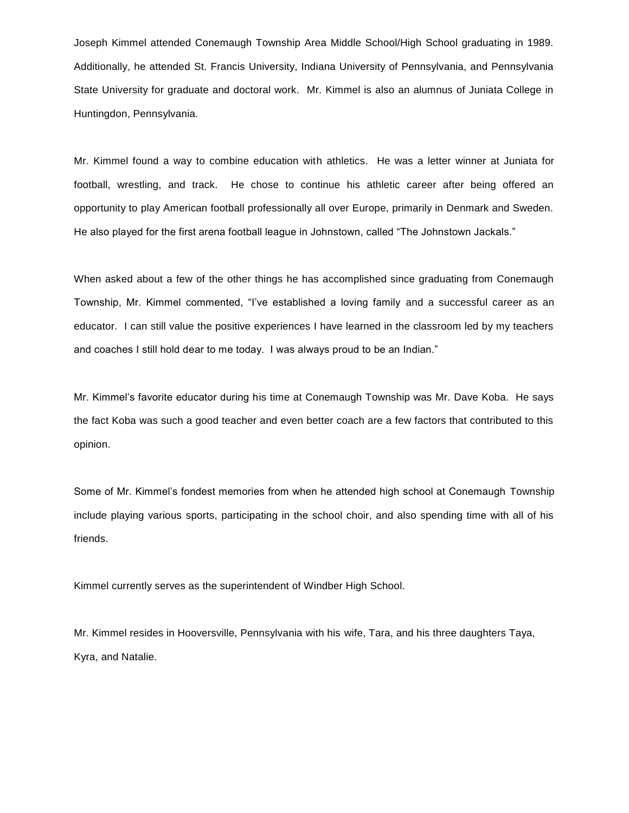Joseph Kimmel attended Conemaugh Township Area Middle School/High School graduating in 1989. Additionally, he attended St. Francis University, Indiana University of Pennsylvania, and Pennsylvania State University for graduate and doctoral work. Mr. Kimmel is also an alumnus of Juniata College in Huntingdon, Pennsylvania.

Mr. Kimmel found a way to combine education with athletics. He was a letter winner at Juniata for football, wrestling, and track. He chose to continue his athletic career after being offered an opportunity to play American football professionally all over Europe, primarily in Denmark and Sweden. He also played for the first arena football league in Johnstown, called "The Johnstown Jackals."

When asked about a few of the other things he has accomplished since graduating from Conemaugh Township, Mr. Kimmel commented, "I've established a loving family and a successful career as an educator. I can still value the positive experiences I have learned in the classroom led by my teachers and coaches I still hold dear to me today. I was always proud to be an Indian."

Mr. Kimmel's favorite educator during his time at Conemaugh Township was Mr. Dave Koba. He says the fact Koba was such a good teacher and even better coach are a few factors that contributed to this opinion.

Some of Mr. Kimmel's fondest memories from when he attended high school at Conemaugh Township include playing various sports, participating in the school choir, and also spending time with all of his friends.

Kimmel currently serves as the superintendent of Windber High School.

Mr. Kimmel resides in Hooversville, Pennsylvania with his wife, Tara, and his three daughters Taya, Kyra, and Natalie.